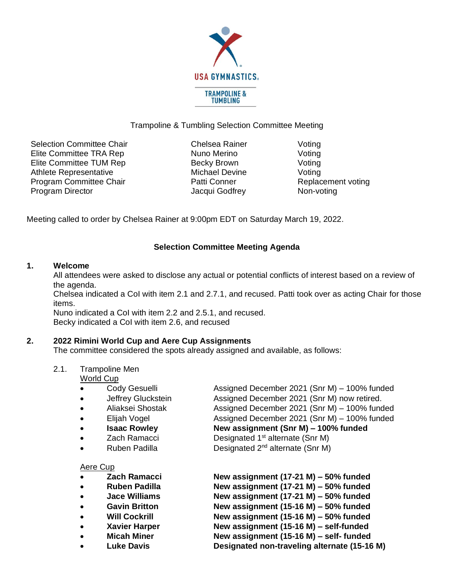

# Trampoline & Tumbling Selection Committee Meeting

Selection Committee Chair **Chelsea Rainer** Voting Elite Committee TRA Rep Nuno Merino Voting Elite Committee TUM Rep Becky Brown Voting Athlete Representative Michael Devine Voting Program Committee Chair **Patti Conner** Patti Conner Replacement voting Program Director **No. 2018** Jacqui Godfrey Non-voting

Meeting called to order by Chelsea Rainer at 9:00pm EDT on Saturday March 19, 2022.

# **Selection Committee Meeting Agenda**

## **1. Welcome**

All attendees were asked to disclose any actual or potential conflicts of interest based on a review of the agenda.

Chelsea indicated a CoI with item 2.1 and 2.7.1, and recused. Patti took over as acting Chair for those items.

Nuno indicated a CoI with item 2.2 and 2.5.1, and recused. Becky indicated a CoI with item 2.6, and recused

## **2. 2022 Rimini World Cup and Aere Cup Assignments**

The committee considered the spots already assigned and available, as follows:

2.1. Trampoline Men

World Cup

- Cody Gesuelli Assigned December 2021 (Snr M) 100% funded
- 
- 
- 
- 
- 
- 

Aere Cup

- 
- 
- 
- 
- 
- 
- 
- 

• Jeffrey Gluckstein **Assigned December 2021 (Snr M) now retired.** • Aliaksei Shostak Assigned December 2021 (Snr M) – 100% funded • Elijah Vogel Assigned December 2021 (Snr M) – 100% funded • **Isaac Rowley New assignment (Snr M) – 100% funded** • Zach Ramacci Designated 1<sup>st</sup> alternate (Snr M)

• Ruben Padilla **Designated 2<sup>nd</sup> alternate (Snr M)** 

• **Zach Ramacci New assignment (17-21 M) – 50% funded** • **Ruben Padilla New assignment (17-21 M) – 50% funded** • **Jace Williams New assignment (17-21 M) – 50% funded** • **Gavin Britton New assignment (15-16 M) – 50% funded** • **Will Cockrill New assignment (15-16 M) – 50% funded** • **Xavier Harper New assignment (15-16 M) – self-funded** • **Micah Miner New assignment (15-16 M) – self- funded** • **Luke Davis Designated non-traveling alternate (15-16 M)**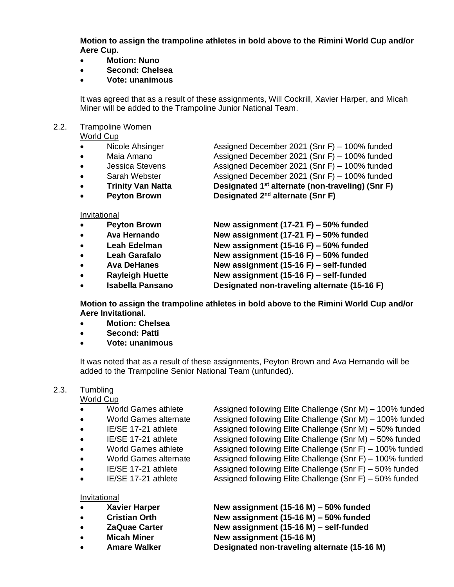**Motion to assign the trampoline athletes in bold above to the Rimini World Cup and/or Aere Cup.**

- **Motion: Nuno**
- **Second: Chelsea**
- **Vote: unanimous**

It was agreed that as a result of these assignments, Will Cockrill, Xavier Harper, and Micah Miner will be added to the Trampoline Junior National Team.

# 2.2. Trampoline Women

World Cup

| $\bullet$ | Nicole Ahsinger          | Assigned December 2021 (Snr F) - 100% funded                 |
|-----------|--------------------------|--------------------------------------------------------------|
| $\bullet$ | Maia Amano               | Assigned December 2021 (Snr F) - 100% funded                 |
| $\bullet$ | <b>Jessica Stevens</b>   | Assigned December 2021 (Snr F) - 100% funded                 |
| $\bullet$ | Sarah Webster            | Assigned December 2021 (Snr F) - 100% funded                 |
| $\bullet$ | <b>Trinity Van Natta</b> | Designated 1 <sup>st</sup> alternate (non-traveling) (Snr F) |
| $\bullet$ | <b>Peyton Brown</b>      | Designated 2 <sup>nd</sup> alternate (Snr F)                 |
|           |                          |                                                              |
|           | Invitational             |                                                              |
| $\bullet$ | <b>Peyton Brown</b>      | New assignment $(17-21 F) - 50\%$ funded                     |
| $\bullet$ | Ava Hernando             | New assignment $(17-21 F) - 50\%$ funded                     |
| $\bullet$ | Leah Edelman             | New assignment (15-16 F) $-$ 50% funded                      |
| $\bullet$ | Leah Garafalo            | New assignment (15-16 F) $-$ 50% funded                      |
|           |                          | Nicola de disconcerto (4 F - 4 O, F) — de 10 febrer de di    |

- **Ava DeHanes New assignment (15-16 F) – self-funded** • **Rayleigh Huette New assignment (15-16 F) – self-funded**
- **Isabella Pansano Designated non-traveling alternate (15-16 F)**

**Motion to assign the trampoline athletes in bold above to the Rimini World Cup and/or Aere Invitational.**

- **Motion: Chelsea**
- **Second: Patti**
- **Vote: unanimous**

It was noted that as a result of these assignments, Peyton Brown and Ava Hernando will be added to the Trampoline Senior National Team (unfunded).

## 2.3. Tumbling

World Cup

- 
- 
- 
- 
- 
- 
- 
- 

#### **Invitational**

- 
- 
- 
- 
- 
- World Games athlete Assigned following Elite Challenge (Snr M) 100% funded • World Games alternate Assigned following Elite Challenge (Snr M) – 100% funded • IE/SE 17-21 athlete Assigned following Elite Challenge (Snr M) – 50% funded • IE/SE 17-21 athlete Assigned following Elite Challenge (Snr M) – 50% funded • World Games athlete Assigned following Elite Challenge (Snr F) – 100% funded • World Games alternate Assigned following Elite Challenge (Snr F) – 100% funded • IE/SE 17-21 athlete Assigned following Elite Challenge (Snr F) – 50% funded • IE/SE 17-21 athlete Assigned following Elite Challenge (Snr F) – 50% funded
- **Xavier Harper New assignment (15-16 M) – 50% funded** • **Cristian Orth New assignment (15-16 M) – 50% funded** • **ZaQuae Carter New assignment (15-16 M) – self-funded** • **Micah Miner New assignment (15-16 M)** • **Amare Walker Designated non-traveling alternate (15-16 M)**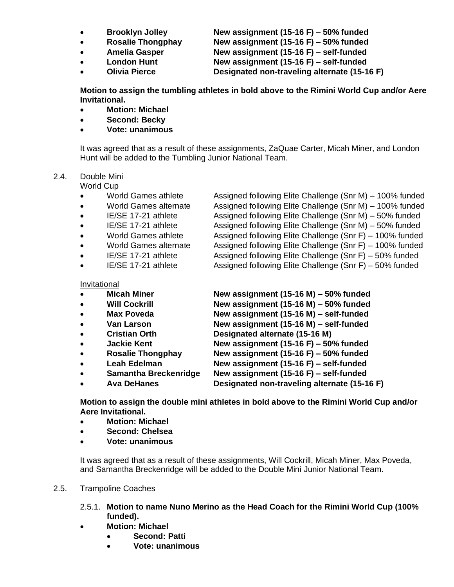- 
- 
- 
- 
- 

• **Brooklyn Jolley New assignment (15-16 F) – 50% funded** • **Rosalie Thongphay New assignment (15-16 F) – 50% funded** • **Amelia Gasper New assignment (15-16 F) – self-funded** • **London Hunt New assignment (15-16 F) – self-funded** • **Olivia Pierce Designated non-traveling alternate (15-16 F)**

**Motion to assign the tumbling athletes in bold above to the Rimini World Cup and/or Aere Invitational.**

- **Motion: Michael**
- **Second: Becky**
- **Vote: unanimous**

It was agreed that as a result of these assignments, ZaQuae Carter, Micah Miner, and London Hunt will be added to the Tumbling Junior National Team.

# 2.4. Double Mini

World Cup

- World Games athlete Assigned following Elite Challenge (Snr M) 100% funded
- World Games alternate Assigned following Elite Challenge (Snr M) 100% funded
- 
- 
- 
- 
- 
- 

• IE/SE 17-21 athlete Assigned following Elite Challenge (Snr M) – 50% funded • IE/SE 17-21 athlete Assigned following Elite Challenge (Snr M) – 50% funded • World Games athlete Assigned following Elite Challenge (Snr F) – 100% funded • World Games alternate Assigned following Elite Challenge (Snr F) – 100% funded • IE/SE 17-21 athlete Assigned following Elite Challenge (Snr F) – 50% funded • IE/SE 17-21 athlete Assigned following Elite Challenge (Snr F) – 50% funded

#### Invitational

| $\bullet$ | <b>Micah Miner</b>       | New assignment (15-16 M) $-$ 50% funded      |
|-----------|--------------------------|----------------------------------------------|
| $\bullet$ | <b>Will Cockrill</b>     | New assignment (15-16 M) $-$ 50% funded      |
| $\bullet$ | <b>Max Poveda</b>        | New assignment (15-16 M) - self-funded       |
| $\bullet$ | <b>Van Larson</b>        | New assignment (15-16 M) - self-funded       |
| $\bullet$ | <b>Cristian Orth</b>     | Designated alternate (15-16 M)               |
| $\bullet$ | <b>Jackie Kent</b>       | New assignment (15-16 F) $-$ 50% funded      |
| $\bullet$ | <b>Rosalie Thongphay</b> | New assignment (15-16 F) $-$ 50% funded      |
| $\bullet$ | <b>Leah Edelman</b>      | New assignment (15-16 F) - self-funded       |
| $\bullet$ | Samantha Breckenridge    | New assignment (15-16 F) - self-funded       |
| $\bullet$ | <b>Ava DeHanes</b>       | Designated non-traveling alternate (15-16 F) |
|           |                          |                                              |

**Motion to assign the double mini athletes in bold above to the Rimini World Cup and/or Aere Invitational.**

- **Motion: Michael**
- **Second: Chelsea**
- **Vote: unanimous**

It was agreed that as a result of these assignments, Will Cockrill, Micah Miner, Max Poveda, and Samantha Breckenridge will be added to the Double Mini Junior National Team.

#### 2.5. Trampoline Coaches

- 2.5.1. **Motion to name Nuno Merino as the Head Coach for the Rimini World Cup (100% funded).**
- **Motion: Michael**
	- **Second: Patti**
	- **Vote: unanimous**